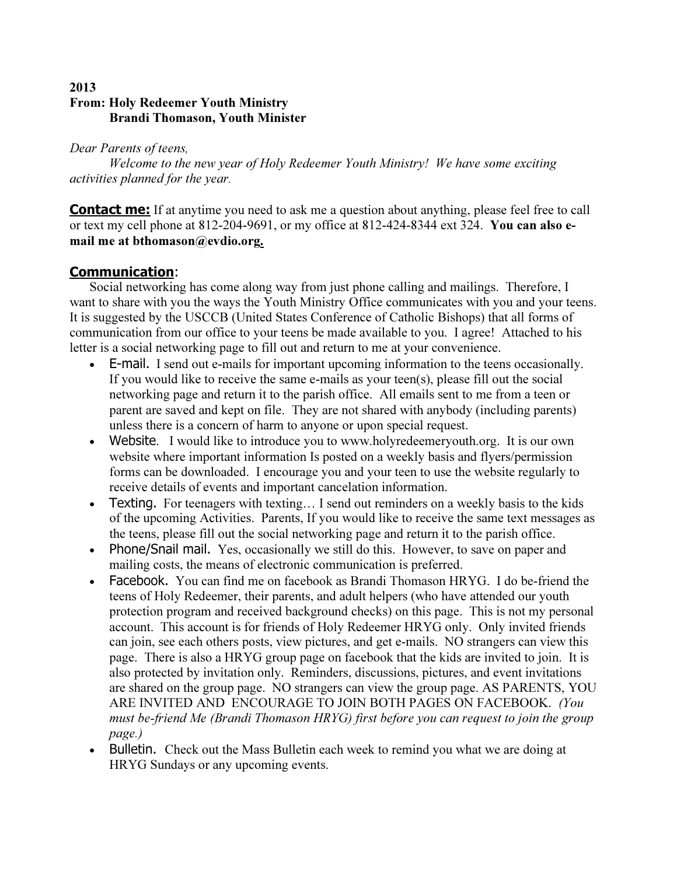## 2013 From: Holy Redeemer Youth Ministry Brandi Thomason, Youth Minister

Dear Parents of teens,

Welcome to the new year of Holy Redeemer Youth Ministry! We have some exciting activities planned for the year.

**Contact me:** If at anytime you need to ask me a question about anything, please feel free to call or text my cell phone at 812-204-9691, or my office at 812-424-8344 ext 324. You can also email me at bthomason@evdio.org.

## Communication:

Social networking has come along way from just phone calling and mailings. Therefore, I want to share with you the ways the Youth Ministry Office communicates with you and your teens. It is suggested by the USCCB (United States Conference of Catholic Bishops) that all forms of communication from our office to your teens be made available to you. I agree! Attached to his letter is a social networking page to fill out and return to me at your convenience.

- E-mail. I send out e-mails for important upcoming information to the teens occasionally. If you would like to receive the same e-mails as your teen(s), please fill out the social networking page and return it to the parish office. All emails sent to me from a teen or parent are saved and kept on file. They are not shared with anybody (including parents) unless there is a concern of harm to anyone or upon special request.
- Website. I would like to introduce you to www.holyredeemeryouth.org. It is our own website where important information Is posted on a weekly basis and flyers/permission forms can be downloaded. I encourage you and your teen to use the website regularly to receive details of events and important cancelation information.
- Texting. For teenagers with texting... I send out reminders on a weekly basis to the kids of the upcoming Activities. Parents, If you would like to receive the same text messages as the teens, please fill out the social networking page and return it to the parish office.
- Phone/Snail mail. Yes, occasionally we still do this. However, to save on paper and mailing costs, the means of electronic communication is preferred.
- Facebook. You can find me on facebook as Brandi Thomason HRYG. I do be-friend the teens of Holy Redeemer, their parents, and adult helpers (who have attended our youth protection program and received background checks) on this page. This is not my personal account. This account is for friends of Holy Redeemer HRYG only. Only invited friends can join, see each others posts, view pictures, and get e-mails. NO strangers can view this page. There is also a HRYG group page on facebook that the kids are invited to join. It is also protected by invitation only. Reminders, discussions, pictures, and event invitations are shared on the group page. NO strangers can view the group page. AS PARENTS, YOU ARE INVITED AND ENCOURAGE TO JOIN BOTH PAGES ON FACEBOOK. (You must be-friend Me (Brandi Thomason HRYG) first before you can request to join the group page.)
- Bulletin. Check out the Mass Bulletin each week to remind you what we are doing at HRYG Sundays or any upcoming events.